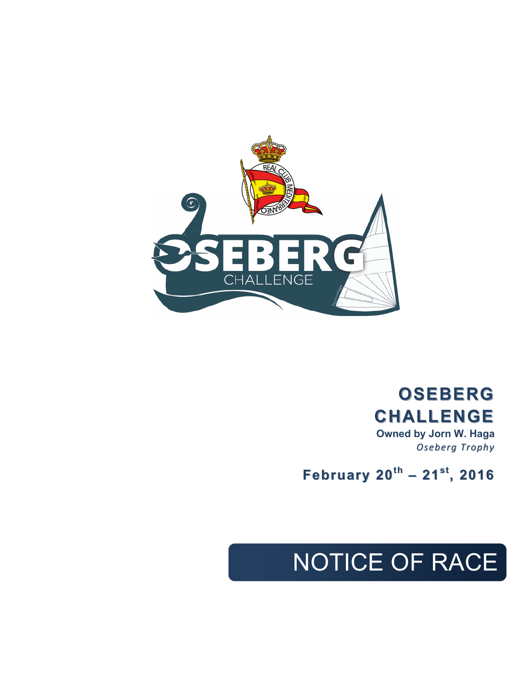

# **OSEBERG OSEBERG CHALLENGE CHALLENGE**

**Owned by Jorn W. Haga** *Oseberg Trophy Oseberg Trophy*

 **February 20 February 20th – 21st, 2016**

# NOTICE OF RACE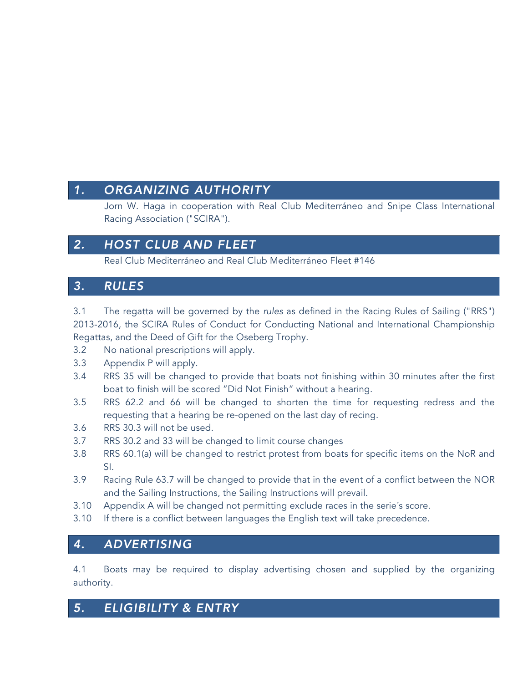## *1. ORGANIZING AUTHORITY*

Jorn W. Haga in cooperation with Real Club Mediterráneo and Snipe Class International Racing Association ("SCIRA").

# *2. HOST CLUB AND FLEET*

Real Club Mediterráneo and Real Club Mediterráneo Fleet #146

#### *3. RULES*

3.1 The regatta will be governed by the *rules* as defined in the Racing Rules of Sailing ("RRS") 2013-2016, the SCIRA Rules of Conduct for Conducting National and International Championship Regattas, and the Deed of Gift for the Oseberg Trophy.

- 3.2 No national prescriptions will apply.
- 3.3 Appendix P will apply.
- 3.4 RRS 35 will be changed to provide that boats not finishing within 30 minutes after the first boat to finish will be scored "Did Not Finish" without a hearing.
- 3.5 RRS 62.2 and 66 will be changed to shorten the time for requesting redress and the requesting that a hearing be re-opened on the last day of recing.
- 3.6 RRS 30.3 will not be used.
- 3.7 RRS 30.2 and 33 will be changed to limit course changes
- 3.8 RRS 60.1(a) will be changed to restrict protest from boats for specific items on the NoR and SI.
- 3.9 Racing Rule 63.7 will be changed to provide that in the event of a conflict between the NOR and the Sailing Instructions, the Sailing Instructions will prevail.
- 3.10 Appendix A will be changed not permitting exclude races in the serie´s score.
- 3.10 If there is a conflict between languages the English text will take precedence.

#### *4. ADVERTISING*

4.1 Boats may be required to display advertising chosen and supplied by the organizing authority.

# *5. ELIGIBILITY & ENTRY*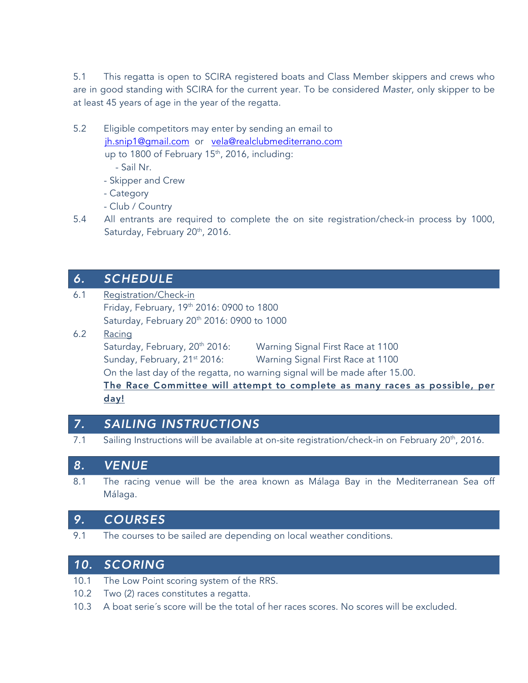5.1 This regatta is open to SCIRA registered boats and Class Member skippers and crews who are in good standing with SCIRA for the current year. To be considered *Master*, only skipper to be at least 45 years of age in the year of the regatta.

- 5.2 Eligible competitors may enter by sending an email to jh.snip1@gmail.com or vela@realclubmediterrano.com up to 1800 of February 15<sup>th</sup>, 2016, including:
	- Sail Nr.
	- Skipper and Crew
	- Category
	- Club / Country
- 5.4 All entrants are required to complete the on site registration/check-in process by 1000, Saturday, February 20<sup>th</sup>, 2016.

#### *6. SCHEDULE*

- 6.1 Registration/Check-in Friday, February, 19th 2016: 0900 to 1800 Saturday, February 20th 2016: 0900 to 1000
- 6.2 Racing Saturday, February, 20<sup>th</sup> 2016: Warning Signal First Race at 1100 Sunday, February, 21<sup>st</sup> 2016: Warning Signal First Race at 1100 On the last day of the regatta, no warning signal will be made after 15.00. The Race Committee will attempt to complete as many races as possible, per day!

# *7. SAILING INSTRUCTIONS*

7.1 Sailing Instructions will be available at on-site registration/check-in on February 20<sup>th</sup>, 2016.

#### *8. VENUE*

8.1 The racing venue will be the area known as Málaga Bay in the Mediterranean Sea off Málaga.

#### *9. COURSES*

9.1 The courses to be sailed are depending on local weather conditions.

#### *10. SCORING*

- 10.1 The Low Point scoring system of the RRS.
- 10.2 Two (2) races constitutes a regatta.
- 10.3 A boat serie´s score will be the total of her races scores. No scores will be excluded.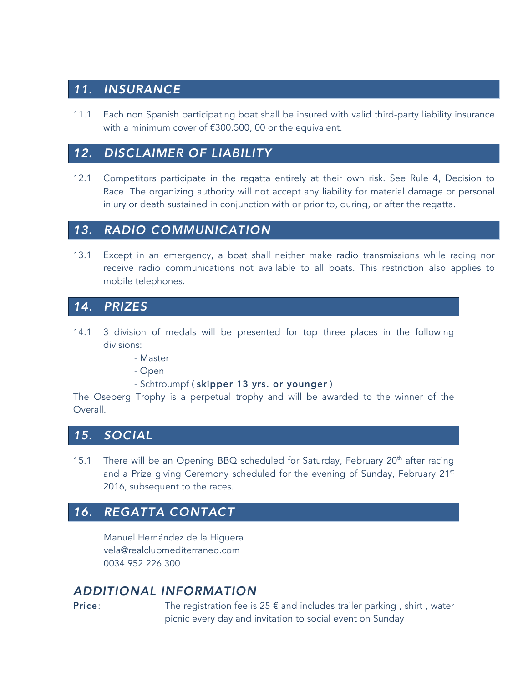# *11. INSURANCE*

11.1 Each non Spanish participating boat shall be insured with valid third-party liability insurance with a minimum cover of €300.500, 00 or the equivalent.

## *12. DISCLAIMER OF LIABILITY*

12.1 Competitors participate in the regatta entirely at their own risk. See Rule 4, Decision to Race. The organizing authority will not accept any liability for material damage or personal injury or death sustained in conjunction with or prior to, during, or after the regatta.

#### *13. RADIO COMMUNICATION*

13.1 Except in an emergency, a boat shall neither make radio transmissions while racing nor receive radio communications not available to all boats. This restriction also applies to mobile telephones.

#### *14. PRIZES*

- 14.1 3 division of medals will be presented for top three places in the following divisions:
	- Master
	- Open
	- Schtroumpf ( skipper 13 yrs. or younger )

The Oseberg Trophy is a perpetual trophy and will be awarded to the winner of the Overall.

#### *15. SOCIAL*

15.1 There will be an Opening BBQ scheduled for Saturday, February  $20<sup>th</sup>$  after racing and a Prize giving Ceremony scheduled for the evening of Sunday, February 21<sup>st</sup> 2016, subsequent to the races.

# *16. REGATTA CONTACT*

Manuel Hernández de la Higuera vela@realclubmediterraneo.com 0034 952 226 300

# *ADDITIONAL INFORMATION*

**Price:** The registration fee is  $25 \notin$  and includes trailer parking, shirt, water picnic every day and invitation to social event on Sunday